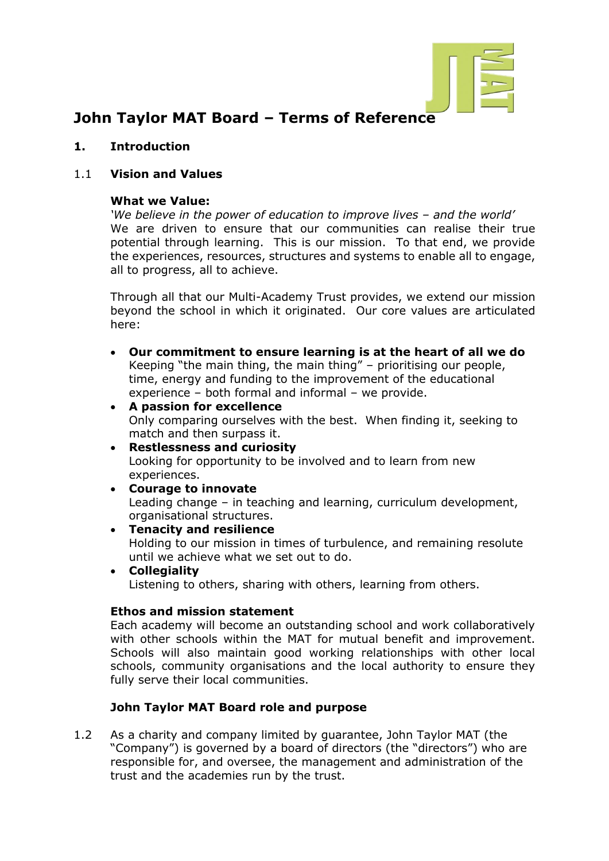

# **John Taylor MAT Board – Terms of Reference**

**1. Introduction** 

#### 1.1 **Vision and Values**

#### **What we Value:**

*'We believe in the power of education to improve lives – and the world'*  We are driven to ensure that our communities can realise their true potential through learning. This is our mission. To that end, we provide the experiences, resources, structures and systems to enable all to engage, all to progress, all to achieve.

Through all that our Multi-Academy Trust provides, we extend our mission beyond the school in which it originated. Our core values are articulated here:

- **Our commitment to ensure learning is at the heart of all we do** Keeping "the main thing, the main thing" – prioritising our people, time, energy and funding to the improvement of the educational experience – both formal and informal – we provide.
- **A passion for excellence** Only comparing ourselves with the best. When finding it, seeking to match and then surpass it.
- **Restlessness and curiosity** Looking for opportunity to be involved and to learn from new experiences.
- **Courage to innovate** Leading change – in teaching and learning, curriculum development, organisational structures.
- **Tenacity and resilience**  Holding to our mission in times of turbulence, and remaining resolute until we achieve what we set out to do.
- **Collegiality** Listening to others, sharing with others, learning from others.

#### **Ethos and mission statement**

Each academy will become an outstanding school and work collaboratively with other schools within the MAT for mutual benefit and improvement. Schools will also maintain good working relationships with other local schools, community organisations and the local authority to ensure they fully serve their local communities.

## **John Taylor MAT Board role and purpose**

1.2 As a charity and company limited by guarantee, John Taylor MAT (the "Company") is governed by a board of directors (the "directors") who are responsible for, and oversee, the management and administration of the trust and the academies run by the trust.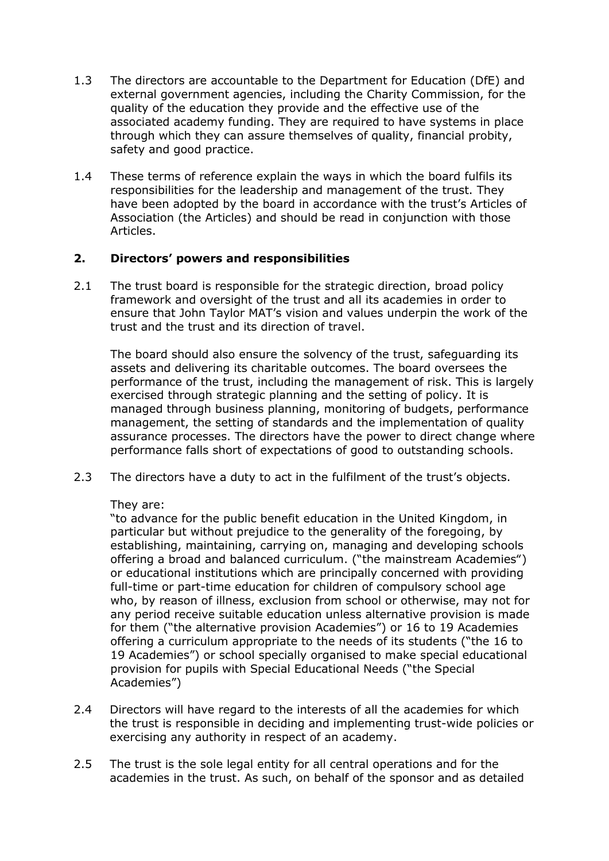- 1.3 The directors are accountable to the Department for Education (DfE) and external government agencies, including the Charity Commission, for the quality of the education they provide and the effective use of the associated academy funding. They are required to have systems in place through which they can assure themselves of quality, financial probity, safety and good practice.
- 1.4 These terms of reference explain the ways in which the board fulfils its responsibilities for the leadership and management of the trust. They have been adopted by the board in accordance with the trust's Articles of Association (the Articles) and should be read in conjunction with those Articles.

# **2. Directors' powers and responsibilities**

2.1 The trust board is responsible for the strategic direction, broad policy framework and oversight of the trust and all its academies in order to ensure that John Taylor MAT's vision and values underpin the work of the trust and the trust and its direction of travel.

The board should also ensure the solvency of the trust, safeguarding its assets and delivering its charitable outcomes. The board oversees the performance of the trust, including the management of risk. This is largely exercised through strategic planning and the setting of policy. It is managed through business planning, monitoring of budgets, performance management, the setting of standards and the implementation of quality assurance processes. The directors have the power to direct change where performance falls short of expectations of good to outstanding schools.

2.3 The directors have a duty to act in the fulfilment of the trust's objects.

## They are:

"to advance for the public benefit education in the United Kingdom, in particular but without prejudice to the generality of the foregoing, by establishing, maintaining, carrying on, managing and developing schools offering a broad and balanced curriculum. ("the mainstream Academies") or educational institutions which are principally concerned with providing full-time or part-time education for children of compulsory school age who, by reason of illness, exclusion from school or otherwise, may not for any period receive suitable education unless alternative provision is made for them ("the alternative provision Academies") or 16 to 19 Academies offering a curriculum appropriate to the needs of its students ("the 16 to 19 Academies") or school specially organised to make special educational provision for pupils with Special Educational Needs ("the Special Academies")

- 2.4 Directors will have regard to the interests of all the academies for which the trust is responsible in deciding and implementing trust-wide policies or exercising any authority in respect of an academy.
- 2.5 The trust is the sole legal entity for all central operations and for the academies in the trust. As such, on behalf of the sponsor and as detailed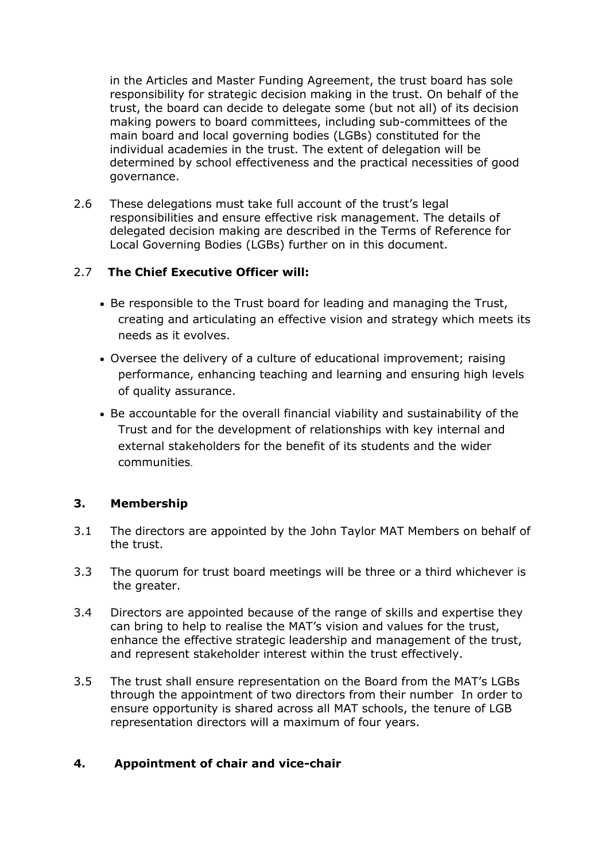in the Articles and Master Funding Agreement, the trust board has sole responsibility for strategic decision making in the trust. On behalf of the trust, the board can decide to delegate some (but not all) of its decision making powers to board committees, including sub-committees of the main board and local governing bodies (LGBs) constituted for the individual academies in the trust. The extent of delegation will be determined by school effectiveness and the practical necessities of good governance.

2.6 These delegations must take full account of the trust's legal responsibilities and ensure effective risk management. The details of delegated decision making are described in the Terms of Reference for Local Governing Bodies (LGBs) further on in this document.

## 2.7 **The Chief Executive Officer will:**

- Be responsible to the Trust board for leading and managing the Trust, creating and articulating an effective vision and strategy which meets its needs as it evolves.
- Oversee the delivery of a culture of educational improvement; raising performance, enhancing teaching and learning and ensuring high levels of quality assurance.
- Be accountable for the overall financial viability and sustainability of the Trust and for the development of relationships with key internal and external stakeholders for the benefit of its students and the wider communities.

## **3. Membership**

- 3.1 The directors are appointed by the John Taylor MAT Members on behalf of the trust.
- 3.3 The quorum for trust board meetings will be three or a third whichever is the greater.
- 3.4 Directors are appointed because of the range of skills and expertise they can bring to help to realise the MAT's vision and values for the trust, enhance the effective strategic leadership and management of the trust, and represent stakeholder interest within the trust effectively.
- 3.5 The trust shall ensure representation on the Board from the MAT's LGBs through the appointment of two directors from their number In order to ensure opportunity is shared across all MAT schools, the tenure of LGB representation directors will a maximum of four years.

## **4. Appointment of chair and vice-chair**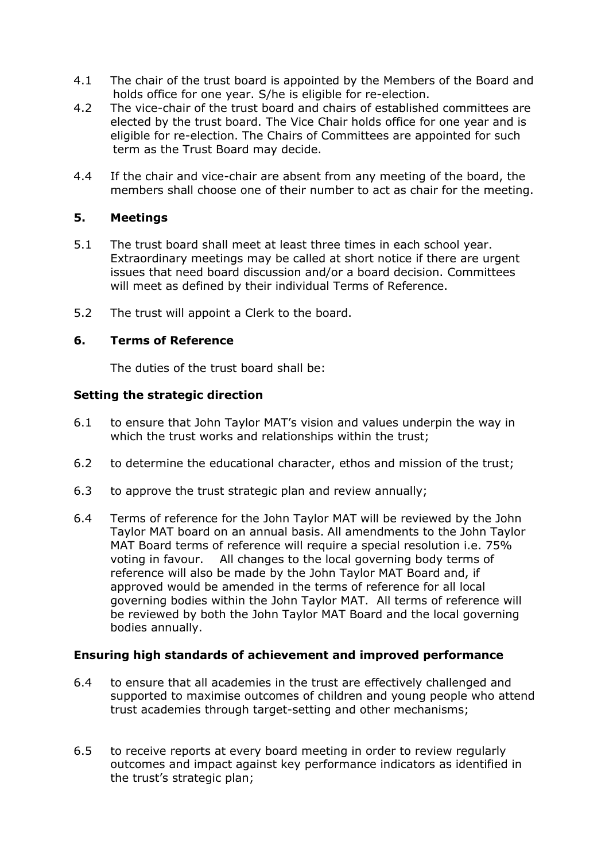- 4.1 The chair of the trust board is appointed by the Members of the Board and holds office for one year. S/he is eligible for re-election.
- 4.2 The vice-chair of the trust board and chairs of established committees are elected by the trust board. The Vice Chair holds office for one year and is eligible for re-election. The Chairs of Committees are appointed for such term as the Trust Board may decide.
- 4.4 If the chair and vice-chair are absent from any meeting of the board, the members shall choose one of their number to act as chair for the meeting.

## **5. Meetings**

- 5.1 The trust board shall meet at least three times in each school year. Extraordinary meetings may be called at short notice if there are urgent issues that need board discussion and/or a board decision. Committees will meet as defined by their individual Terms of Reference.
- 5.2 The trust will appoint a Clerk to the board.

## **6. Terms of Reference**

The duties of the trust board shall be:

## **Setting the strategic direction**

- 6.1 to ensure that John Taylor MAT's vision and values underpin the way in which the trust works and relationships within the trust;
- 6.2 to determine the educational character, ethos and mission of the trust;
- 6.3 to approve the trust strategic plan and review annually;
- 6.4 Terms of reference for the John Taylor MAT will be reviewed by the John Taylor MAT board on an annual basis. All amendments to the John Taylor MAT Board terms of reference will require a special resolution i.e. 75% voting in favour. All changes to the local governing body terms of reference will also be made by the John Taylor MAT Board and, if approved would be amended in the terms of reference for all local governing bodies within the John Taylor MAT. All terms of reference will be reviewed by both the John Taylor MAT Board and the local governing bodies annually.

## **Ensuring high standards of achievement and improved performance**

- 6.4 to ensure that all academies in the trust are effectively challenged and supported to maximise outcomes of children and young people who attend trust academies through target-setting and other mechanisms;
- 6.5 to receive reports at every board meeting in order to review regularly outcomes and impact against key performance indicators as identified in the trust's strategic plan;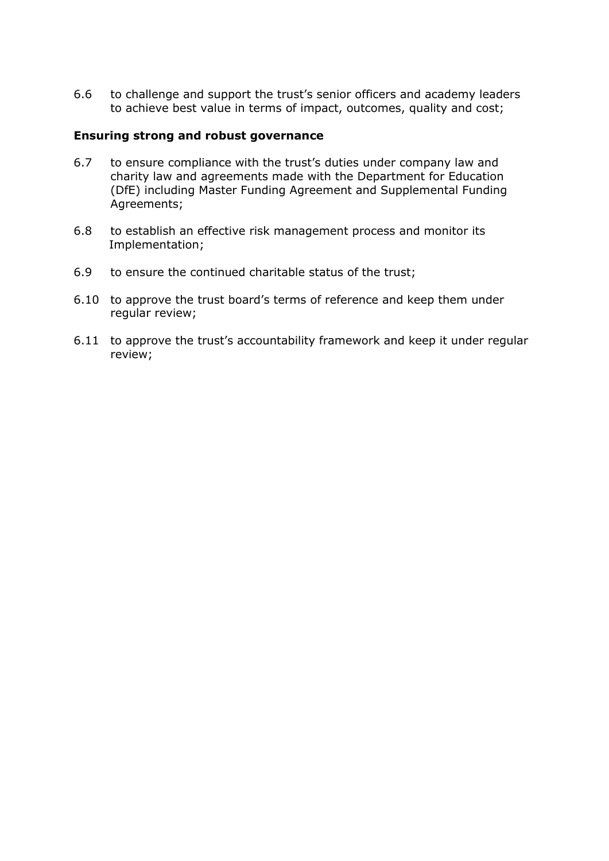6.6 to challenge and support the trust's senior officers and academy leaders to achieve best value in terms of impact, outcomes, quality and cost;

#### **Ensuring strong and robust governance**

- 6.7 to ensure compliance with the trust's duties under company law and charity law and agreements made with the Department for Education (DfE) including Master Funding Agreement and Supplemental Funding Agreements;
- 6.8 to establish an effective risk management process and monitor its Implementation;
- 6.9 to ensure the continued charitable status of the trust;
- 6.10 to approve the trust board's terms of reference and keep them under regular review;
- 6.11 to approve the trust's accountability framework and keep it under regular review;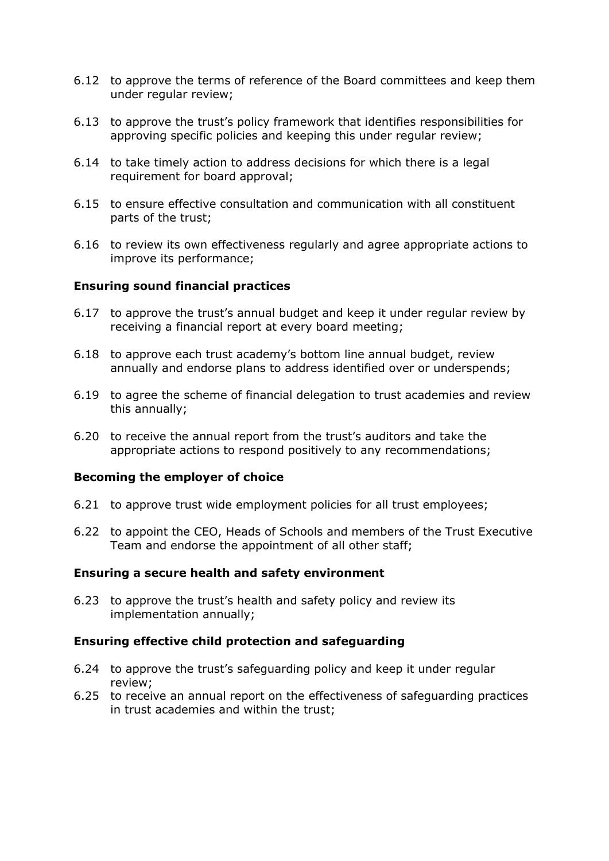- 6.12 to approve the terms of reference of the Board committees and keep them under regular review;
- 6.13 to approve the trust's policy framework that identifies responsibilities for approving specific policies and keeping this under regular review;
- 6.14 to take timely action to address decisions for which there is a legal requirement for board approval;
- 6.15 to ensure effective consultation and communication with all constituent parts of the trust;
- 6.16 to review its own effectiveness regularly and agree appropriate actions to improve its performance;

#### **Ensuring sound financial practices**

- 6.17 to approve the trust's annual budget and keep it under regular review by receiving a financial report at every board meeting;
- 6.18 to approve each trust academy's bottom line annual budget, review annually and endorse plans to address identified over or underspends;
- 6.19 to agree the scheme of financial delegation to trust academies and review this annually;
- 6.20 to receive the annual report from the trust's auditors and take the appropriate actions to respond positively to any recommendations;

#### **Becoming the employer of choice**

- 6.21 to approve trust wide employment policies for all trust employees;
- 6.22 to appoint the CEO, Heads of Schools and members of the Trust Executive Team and endorse the appointment of all other staff;

#### **Ensuring a secure health and safety environment**

6.23 to approve the trust's health and safety policy and review its implementation annually;

#### **Ensuring effective child protection and safeguarding**

- 6.24 to approve the trust's safeguarding policy and keep it under regular review;
- 6.25 to receive an annual report on the effectiveness of safeguarding practices in trust academies and within the trust;